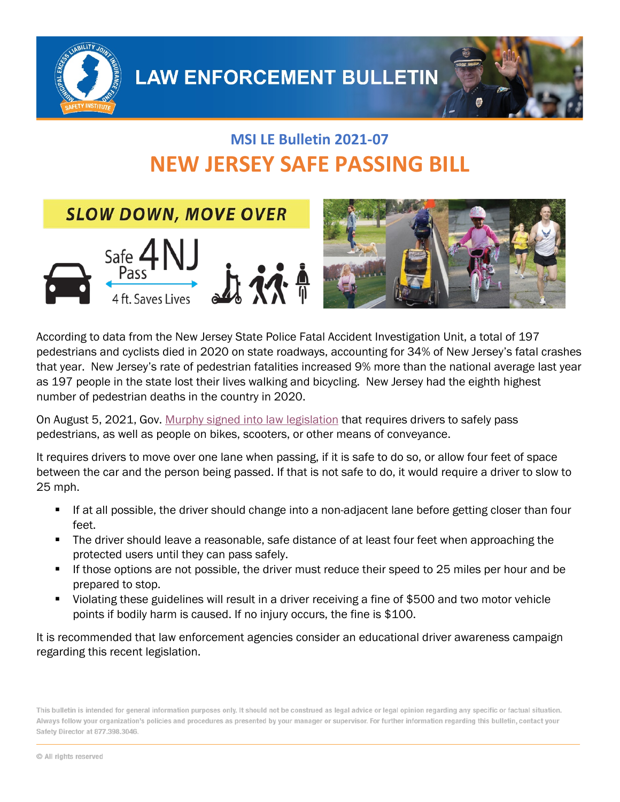

# **MSI LE Bulletin 2021-07 NEW JERSEY SAFE PASSING BILL**

**SLOW DOWN, MOVE OVER** 





According to data from the New Jersey State Police Fatal Accident Investigation Unit, a total of 197 pedestrians and cyclists died in 2020 on state roadways, accounting for 34% of New Jersey's fatal crashes that year. New Jersey's rate of pedestrian fatalities increased 9% more than the national average last year as 197 people in the state lost their lives walking and bicycling. New Jersey had the eighth highest number of pedestrian deaths in the country in 2020.

On August 5, 2021, Gov. [Murphy signed into law legislation](https://njbwc.org/advocates-for-protecting-non-motorist-road-users-today-celebrated-the-signing-of-the-nj-safe-passing-bill-by-gov-phil-murphy/) that requires drivers to safely pass pedestrians, as well as people on bikes, scooters, or other means of conveyance.

It requires drivers to move over one lane when passing, if it is safe to do so, or allow four feet of space between the car and the person being passed. If that is not safe to do, it would require a driver to slow to 25 mph.

- If at all possible, the driver should change into a non-adjacent lane before getting closer than four feet.
- The driver should leave a reasonable, safe distance of at least four feet when approaching the protected users until they can pass safely.
- If those options are not possible, the driver must reduce their speed to 25 miles per hour and be prepared to stop.
- Violating these guidelines will result in a driver receiving a fine of \$500 and two motor vehicle points if bodily harm is caused. If no injury occurs, the fine is \$100.

It is recommended that law enforcement agencies consider an educational driver awareness campaign regarding this recent legislation.

This bulletin is intended for general information purposes only. It should not be construed as legal advice or legal opinion regarding any specific or factual situation. Always follow your organization's policies and procedures as presented by your manager or supervisor. For further information regarding this bulletin, contact your Safety Director at 877.398.3046.